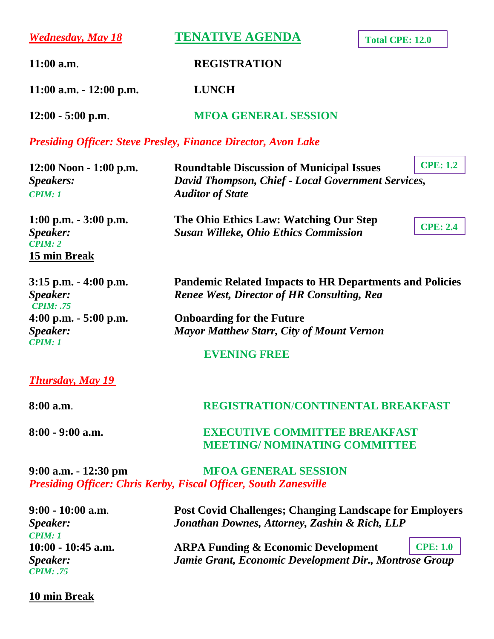*Wednesday, May 18* **TENATIVE AGENDA**

**Total CPE: 12.0**

**11:00 a.m**. **REGISTRATION**

**11:00 a.m. - 12:00 p.m. LUNCH**

**12:00 - 5:00 p.m**. **MFOA GENERAL SESSION** 

*Presiding Officer: Steve Presley, Finance Director, Avon Lake*

| $12:00$ Noon - 1:00 p.m.<br>Speakers:<br><b>CPIM: 1</b>          | <b>Roundtable Discussion of Municipal Issues</b><br>David Thompson, Chief - Local Government Services,<br><b>Auditor of State</b> | <b>CPE: 1.2</b> |
|------------------------------------------------------------------|-----------------------------------------------------------------------------------------------------------------------------------|-----------------|
| $1:00$ p.m. $-3:00$ p.m.<br>Speaker:<br>CPIM: 2<br>15 min Break  | The Ohio Ethics Law: Watching Our Step<br><b>Susan Willeke, Ohio Ethics Commission</b>                                            | <b>CPE: 2.4</b> |
| $3:15$ p.m. $-4:00$ p.m.<br><i>Speaker:</i><br><b>CPIM</b> : .75 | <b>Pandemic Related Impacts to HR Departments and Policies</b><br><b>Renee West, Director of HR Consulting, Rea</b>               |                 |
| $4:00$ p.m. $-5:00$ p.m.                                         | <b>Onboarding for the Future</b>                                                                                                  |                 |
| <i>Speaker:</i><br><b>CPIM: 1</b>                                | <b>Mayor Matthew Starr, City of Mount Vernon</b>                                                                                  |                 |
|                                                                  | <b>EVENING FREE</b>                                                                                                               |                 |
| <b>Thursday, May 19</b>                                          |                                                                                                                                   |                 |
| $8:00$ a.m.                                                      | <b>REGISTRATION/CONTINENTAL BREAKFAST</b>                                                                                         |                 |

**8:00 - 9:00 a.m. EXECUTIVE COMMITTEE BREAKFAST MEETING/ NOMINATING COMMITTEE** 

**9:00 a.m. - 12:30 pm MFOA GENERAL SESSION**  *Presiding Officer: Chris Kerby, Fiscal Officer, South Zanesville*

| $9:00 - 10:00$ a.m.           | <b>Post Covid Challenges: Changing Landscape for Employers</b> |                  |
|-------------------------------|----------------------------------------------------------------|------------------|
| <i>Speaker:</i>               | Jonathan Downes, Attorney, Zashin & Rich, LLP                  |                  |
| $\mathbf{C}$ <i>PIM</i> : $1$ |                                                                |                  |
| $10:00 - 10:45$ a.m.          | <b>ARPA Funding &amp; Economic Development</b>                 | $\vert$ CPE: 1.0 |
| <i>Speaker:</i>               | Jamie Grant, Economic Development Dir., Montrose Group         |                  |
| <b>CPIM: .75</b>              |                                                                |                  |

#### **10 min Break**